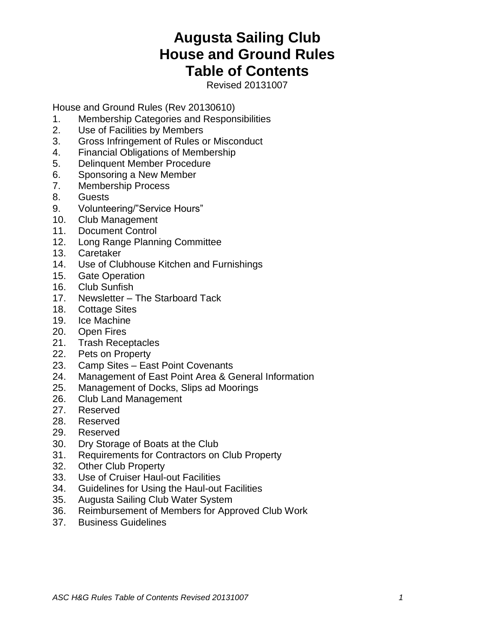## **Augusta Sailing Club House and Ground Rules Table of Contents**

Revised 20131007

House and Ground Rules (Rev 20130610)

- 1. Membership Categories and Responsibilities
- 2. Use of Facilities by Members
- 3. Gross Infringement of Rules or Misconduct
- 4. Financial Obligations of Membership
- 5. Delinquent Member Procedure
- 6. Sponsoring a New Member
- 7. Membership Process
- 8. Guests
- 9. Volunteering/"Service Hours"
- 10. Club Management
- 11. Document Control
- 12. Long Range Planning Committee
- 13. Caretaker
- 14. Use of Clubhouse Kitchen and Furnishings
- 15. Gate Operation
- 16. Club Sunfish
- 17. Newsletter The Starboard Tack
- 18. Cottage Sites
- 19. Ice Machine
- 20. Open Fires
- 21. Trash Receptacles
- 22. Pets on Property
- 23. Camp Sites East Point Covenants
- 24. Management of East Point Area & General Information
- 25. Management of Docks, Slips ad Moorings
- 26. Club Land Management
- 27. Reserved
- 28. Reserved
- 29. Reserved
- 30. Dry Storage of Boats at the Club
- 31. Requirements for Contractors on Club Property
- 32. Other Club Property
- 33. Use of Cruiser Haul-out Facilities
- 34. Guidelines for Using the Haul-out Facilities
- 35. Augusta Sailing Club Water System
- 36. Reimbursement of Members for Approved Club Work
- 37. Business Guidelines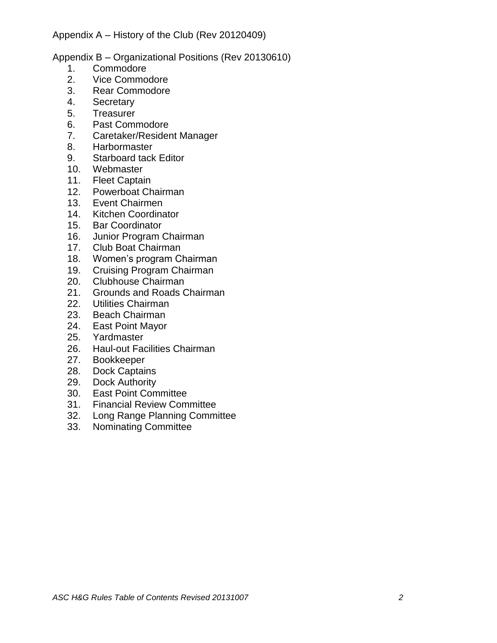## Appendix B – Organizational Positions (Rev 20130610)

- 1. Commodore
- 2. Vice Commodore
- 3. Rear Commodore
- 4. Secretary
- 5. Treasurer
- 6. Past Commodore
- 7. Caretaker/Resident Manager
- 8. Harbormaster
- 9. Starboard tack Editor
- 10. Webmaster
- 11. Fleet Captain
- 12. Powerboat Chairman
- 13. Event Chairmen
- 14. Kitchen Coordinator
- 15. Bar Coordinator
- 16. Junior Program Chairman
- 17. Club Boat Chairman
- 18. Women's program Chairman
- 19. Cruising Program Chairman
- 20. Clubhouse Chairman
- 21. Grounds and Roads Chairman
- 22. Utilities Chairman
- 23. Beach Chairman
- 24. East Point Mayor
- 25. Yardmaster
- 26. Haul-out Facilities Chairman
- 27. Bookkeeper
- 28. Dock Captains
- 29. Dock Authority
- 30. East Point Committee
- 31. Financial Review Committee
- 32. Long Range Planning Committee
- 33. Nominating Committee